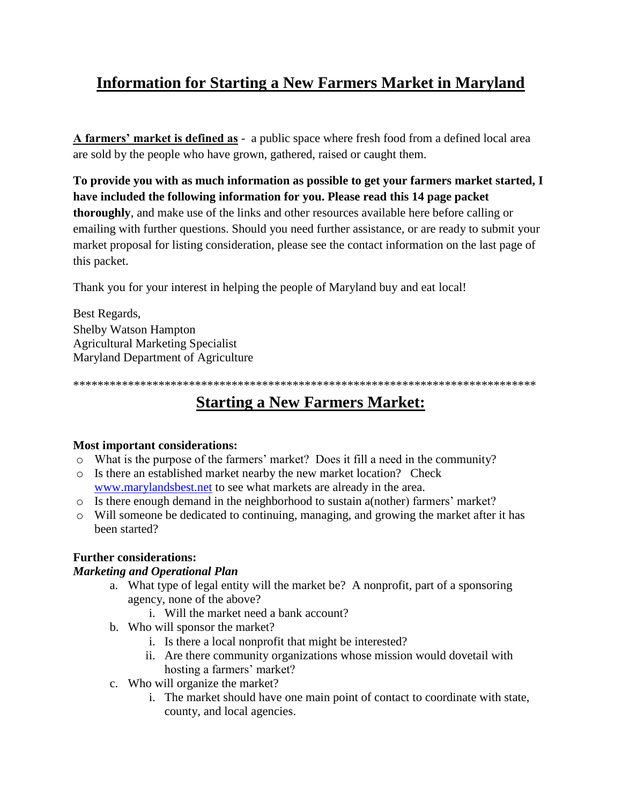# **Information for Starting a New Farmers Market in Maryland**

**A farmers' market is defined as** - a public space where fresh food from a defined local area are sold by the people who have grown, gathered, raised or caught them.

**To provide you with as much information as possible to get your farmers market started, I have included the following information for you. Please read this 14 page packet thoroughly**, and make use of the links and other resources available here before calling or emailing with further questions. Should you need further assistance, or are ready to submit your market proposal for listing consideration, please see the contact information on the last page of this packet.

Thank you for your interest in helping the people of Maryland buy and eat local!

Best Regards, Shelby Watson Hampton Agricultural Marketing Specialist Maryland Department of Agriculture

\*\*\*\*\*\*\*\*\*\*\*\*\*\*\*\*\*\*\*\*\*\*\*\*\*\*\*\*\*\*\*\*\*\*\*\*\*\*\*\*\*\*\*\*\*\*\*\*\*\*\*\*\*\*\*\*\*\*\*\*\*\*\*\*\*\*\*\*\*\*\*\*\*\*\*\*

# **Starting a New Farmers Market:**

### **Most important considerations:**

- o What is the purpose of the farmers' market? Does it fill a need in the community?
- o Is there an established market nearby the new market location? Check [www.marylandsbest.net](http://www.marylandsbest.net/) to see what markets are already in the area.
- o Is there enough demand in the neighborhood to sustain a(nother) farmers' market?
- o Will someone be dedicated to continuing, managing, and growing the market after it has been started?

### **Further considerations:**

### *Marketing and Operational Plan*

- a. What type of legal entity will the market be? A nonprofit, part of a sponsoring agency, none of the above?
	- i. Will the market need a bank account?
- b. Who will sponsor the market?
	- i. Is there a local nonprofit that might be interested?
	- ii. Are there community organizations whose mission would dovetail with hosting a farmers' market?
- c. Who will organize the market?
	- i. The market should have one main point of contact to coordinate with state, county, and local agencies.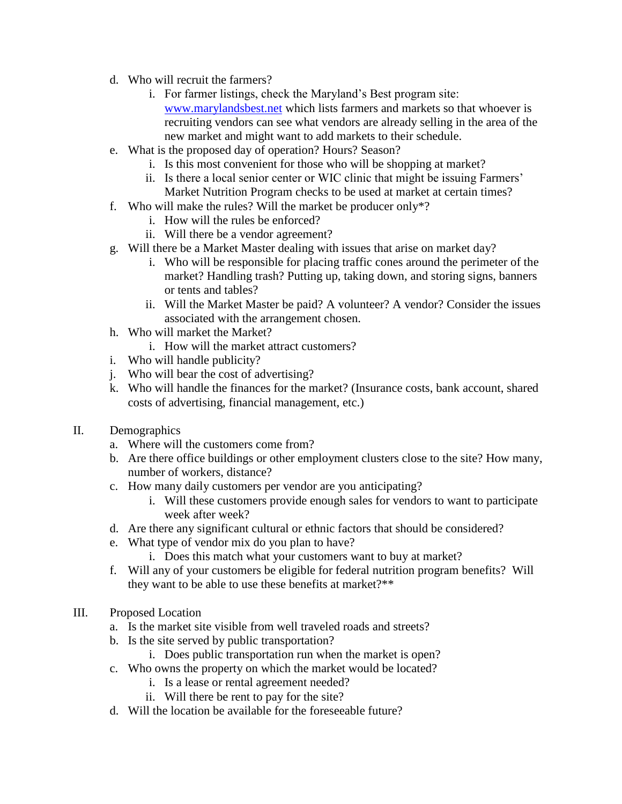- d. Who will recruit the farmers?
	- i. For farmer listings, check the Maryland's Best program site: [www.marylandsbest.net](http://www.marylandsbest.net/) which lists farmers and markets so that whoever is recruiting vendors can see what vendors are already selling in the area of the new market and might want to add markets to their schedule.
- e. What is the proposed day of operation? Hours? Season?
	- i. Is this most convenient for those who will be shopping at market?
	- ii. Is there a local senior center or WIC clinic that might be issuing Farmers' Market Nutrition Program checks to be used at market at certain times?
- f. Who will make the rules? Will the market be producer only\*?
	- i. How will the rules be enforced?
	- ii. Will there be a vendor agreement?
- g. Will there be a Market Master dealing with issues that arise on market day?
	- i. Who will be responsible for placing traffic cones around the perimeter of the market? Handling trash? Putting up, taking down, and storing signs, banners or tents and tables?
	- ii. Will the Market Master be paid? A volunteer? A vendor? Consider the issues associated with the arrangement chosen.
- h. Who will market the Market?
	- i. How will the market attract customers?
- i. Who will handle publicity?
- j. Who will bear the cost of advertising?
- k. Who will handle the finances for the market? (Insurance costs, bank account, shared costs of advertising, financial management, etc.)
- II. Demographics
	- a. Where will the customers come from?
	- b. Are there office buildings or other employment clusters close to the site? How many, number of workers, distance?
	- c. How many daily customers per vendor are you anticipating?
		- i. Will these customers provide enough sales for vendors to want to participate week after week?
	- d. Are there any significant cultural or ethnic factors that should be considered?
	- e. What type of vendor mix do you plan to have?
		- i. Does this match what your customers want to buy at market?
	- f. Will any of your customers be eligible for federal nutrition program benefits? Will they want to be able to use these benefits at market?\*\*
- III. Proposed Location
	- a. Is the market site visible from well traveled roads and streets?
	- b. Is the site served by public transportation?
		- i. Does public transportation run when the market is open?
	- c. Who owns the property on which the market would be located?
		- i. Is a lease or rental agreement needed?
		- ii. Will there be rent to pay for the site?
	- d. Will the location be available for the foreseeable future?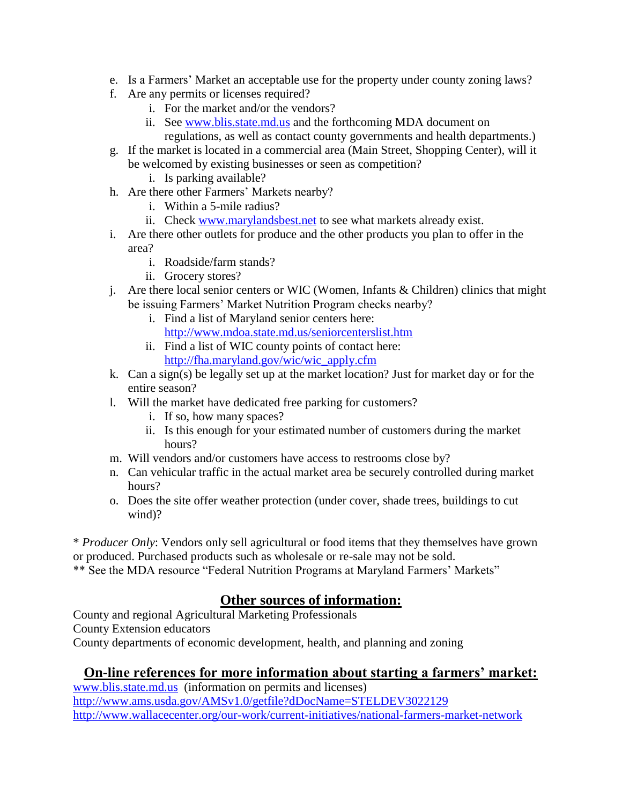- e. Is a Farmers' Market an acceptable use for the property under county zoning laws?
- f. Are any permits or licenses required?
	- i. For the market and/or the vendors?
	- ii. See [www.blis.state.md.us](http://www.blis.state.md.us/) and the forthcoming MDA document on
		- regulations, as well as contact county governments and health departments.)
- g. If the market is located in a commercial area (Main Street, Shopping Center), will it be welcomed by existing businesses or seen as competition?
	- i. Is parking available?
- h. Are there other Farmers' Markets nearby?
	- i. Within a 5-mile radius?
	- ii. Check [www.marylandsbest.net](http://www.marylandsbest.net/) to see what markets already exist.
- i. Are there other outlets for produce and the other products you plan to offer in the area?
	- i. Roadside/farm stands?
	- ii. Grocery stores?
- j. Are there local senior centers or WIC (Women, Infants & Children) clinics that might be issuing Farmers' Market Nutrition Program checks nearby?
	- i. Find a list of Maryland senior centers here: <http://www.mdoa.state.md.us/seniorcenterslist.htm>
	- ii. Find a list of WIC county points of contact here: [http://fha.maryland.gov/wic/wic\\_apply.cfm](http://fha.maryland.gov/wic/wic_apply.cfm)
- k. Can a sign(s) be legally set up at the market location? Just for market day or for the entire season?
- l. Will the market have dedicated free parking for customers?
	- i. If so, how many spaces?
	- ii. Is this enough for your estimated number of customers during the market hours?
- m. Will vendors and/or customers have access to restrooms close by?
- n. Can vehicular traffic in the actual market area be securely controlled during market hours?
- o. Does the site offer weather protection (under cover, shade trees, buildings to cut wind)?

\* *Producer Only*: Vendors only sell agricultural or food items that they themselves have grown or produced. Purchased products such as wholesale or re-sale may not be sold. \*\* See the MDA resource "Federal Nutrition Programs at Maryland Farmers' Markets"

### **Other sources of information:**

County and regional Agricultural Marketing Professionals County Extension educators County departments of economic development, health, and planning and zoning

### **On-line references for more information about starting a farmers' market:**

[www.blis.state.md.us](http://www.blis.state.md.us/) (information on permits and licenses) <http://www.ams.usda.gov/AMSv1.0/getfile?dDocName=STELDEV3022129> <http://www.wallacecenter.org/our-work/current-initiatives/national-farmers-market-network>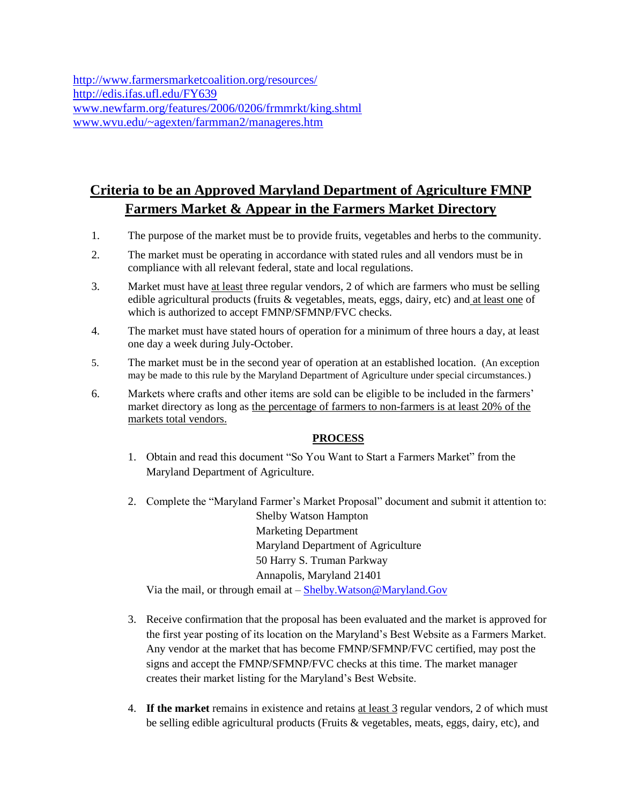<http://www.farmersmarketcoalition.org/resources/> <http://edis.ifas.ufl.edu/FY639> [www.newfarm.org/features/2006/0206/frmmrkt/king.shtml](http://www.newfarm.org/features/2006/0206/frmmrkt/king.shtml)  [www.wvu.edu/~agexten/farmman2/manageres.htm](http://www.wvu.edu/~agexten/farmman2/manageres.htm) 

# **Criteria to be an Approved Maryland Department of Agriculture FMNP Farmers Market & Appear in the Farmers Market Directory**

- 1. The purpose of the market must be to provide fruits, vegetables and herbs to the community.
- 2. The market must be operating in accordance with stated rules and all vendors must be in compliance with all relevant federal, state and local regulations.
- 3. Market must have at least three regular vendors, 2 of which are farmers who must be selling edible agricultural products (fruits & vegetables, meats, eggs, dairy, etc) and at least one of which is authorized to accept FMNP/SFMNP/FVC checks.
- 4. The market must have stated hours of operation for a minimum of three hours a day, at least one day a week during July-October.
- 5. The market must be in the second year of operation at an established location. (An exception may be made to this rule by the Maryland Department of Agriculture under special circumstances.)
- 6. Markets where crafts and other items are sold can be eligible to be included in the farmers' market directory as long as the percentage of farmers to non-farmers is at least 20% of the markets total vendors.

### **PROCESS**

- 1. Obtain and read this document "So You Want to Start a Farmers Market" from the Maryland Department of Agriculture.
- 2. Complete the "Maryland Farmer's Market Proposal" document and submit it attention to: Shelby Watson Hampton Marketing Department Maryland Department of Agriculture 50 Harry S. Truman Parkway Annapolis, Maryland 21401 Via the mail, or through email at – [Shelby.Watson@Maryland.Gov](mailto:Shelby.Watson@Maryland.Gov)
- 3. Receive confirmation that the proposal has been evaluated and the market is approved for the first year posting of its location on the Maryland's Best Website as a Farmers Market. Any vendor at the market that has become FMNP/SFMNP/FVC certified, may post the signs and accept the FMNP/SFMNP/FVC checks at this time. The market manager creates their market listing for the Maryland's Best Website.
- 4. **If the market** remains in existence and retains at least 3 regular vendors, 2 of which must be selling edible agricultural products (Fruits & vegetables, meats, eggs, dairy, etc), and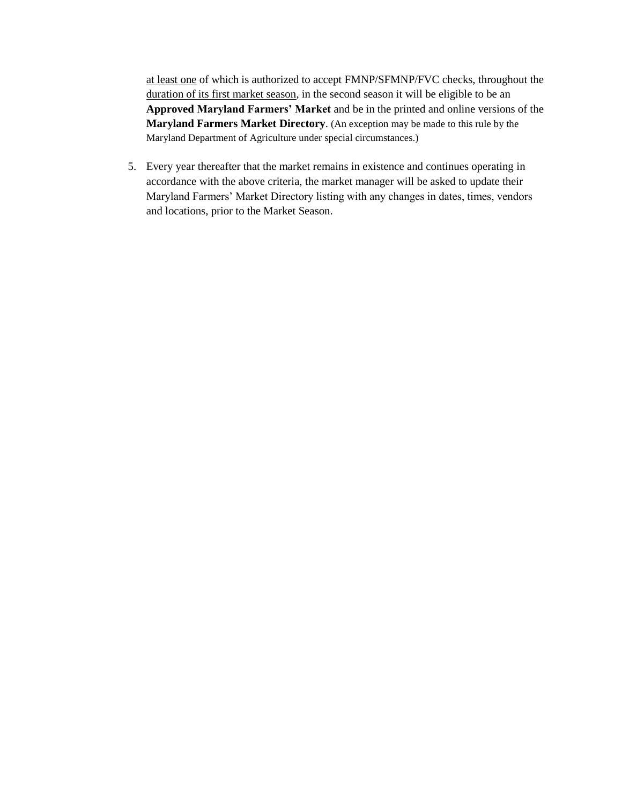at least one of which is authorized to accept FMNP/SFMNP/FVC checks, throughout the duration of its first market season, in the second season it will be eligible to be an **Approved Maryland Farmers' Market** and be in the printed and online versions of the **Maryland Farmers Market Directory**. (An exception may be made to this rule by the Maryland Department of Agriculture under special circumstances.)

5. Every year thereafter that the market remains in existence and continues operating in accordance with the above criteria, the market manager will be asked to update their Maryland Farmers' Market Directory listing with any changes in dates, times, vendors and locations, prior to the Market Season.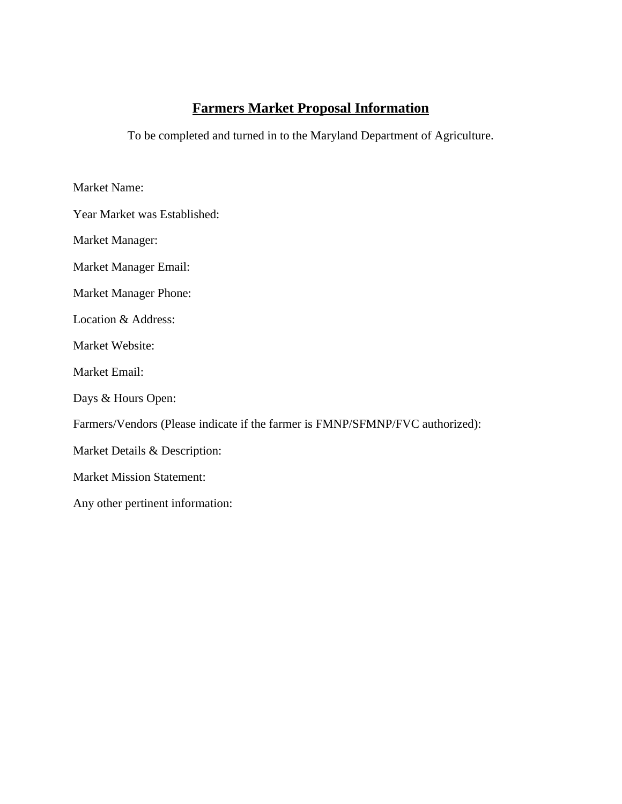## **Farmers Market Proposal Information**

To be completed and turned in to the Maryland Department of Agriculture.

Market Name:

Year Market was Established:

Market Manager:

Market Manager Email:

Market Manager Phone:

Location & Address:

Market Website:

Market Email:

Days & Hours Open:

Farmers/Vendors (Please indicate if the farmer is FMNP/SFMNP/FVC authorized):

Market Details & Description:

Market Mission Statement:

Any other pertinent information: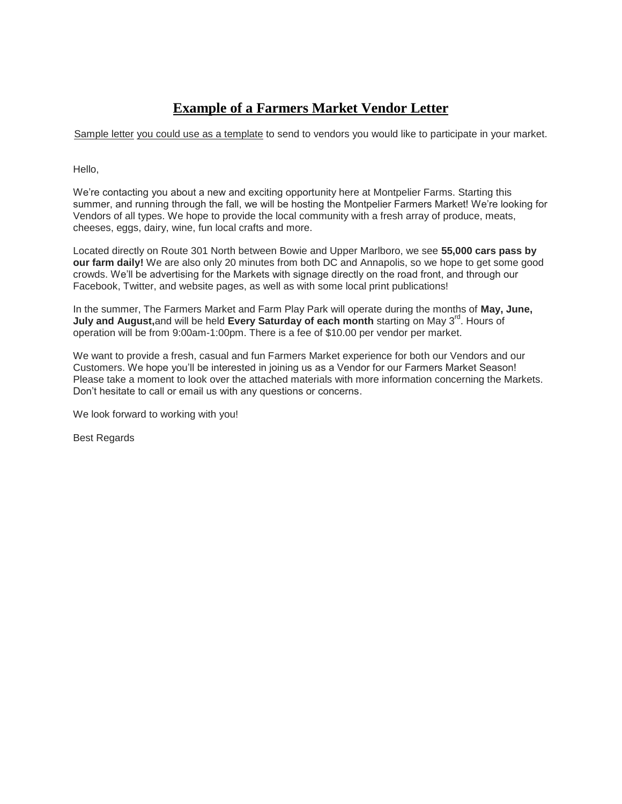## **Example of a Farmers Market Vendor Letter**

Sample letter you could use as a template to send to vendors you would like to participate in your market.

Hello,

We're contacting you about a new and exciting opportunity here at Montpelier Farms. Starting this summer, and running through the fall, we will be hosting the Montpelier Farmers Market! We're looking for Vendors of all types. We hope to provide the local community with a fresh array of produce, meats, cheeses, eggs, dairy, wine, fun local crafts and more.

Located directly on Route 301 North between Bowie and Upper Marlboro, we see **55,000 cars pass by our farm daily!** We are also only 20 minutes from both DC and Annapolis, so we hope to get some good crowds. We'll be advertising for the Markets with signage directly on the road front, and through our Facebook, Twitter, and website pages, as well as with some local print publications!

In the summer, The Farmers Market and Farm Play Park will operate during the months of **May, June,**  July and August, and will be held Every Saturday of each month starting on May 3<sup>rd</sup>. Hours of operation will be from 9:00am-1:00pm. There is a fee of \$10.00 per vendor per market.

We want to provide a fresh, casual and fun Farmers Market experience for both our Vendors and our Customers. We hope you'll be interested in joining us as a Vendor for our Farmers Market Season! Please take a moment to look over the attached materials with more information concerning the Markets. Don't hesitate to call or email us with any questions or concerns.

We look forward to working with you!

Best Regards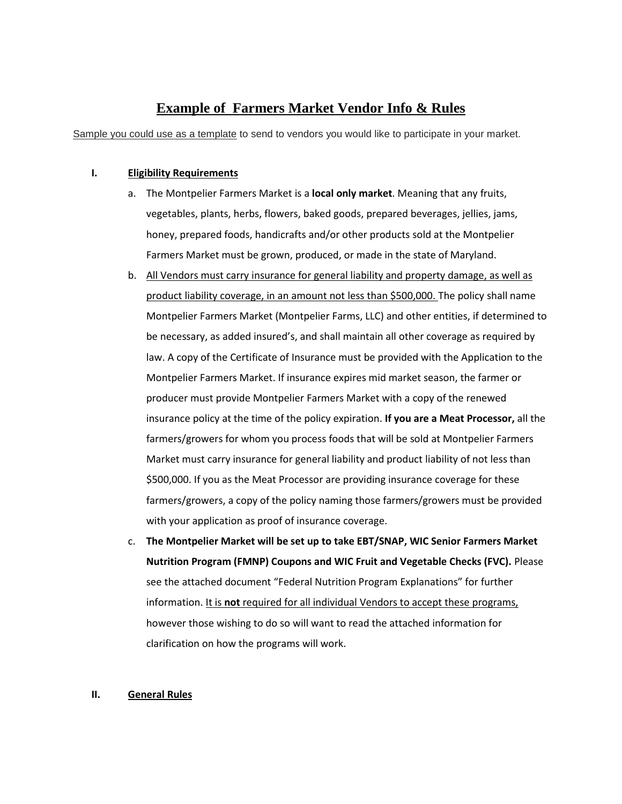### **Example of Farmers Market Vendor Info & Rules**

Sample you could use as a template to send to vendors you would like to participate in your market.

#### **I. Eligibility Requirements**

- a. The Montpelier Farmers Market is a **local only market**. Meaning that any fruits, vegetables, plants, herbs, flowers, baked goods, prepared beverages, jellies, jams, honey, prepared foods, handicrafts and/or other products sold at the Montpelier Farmers Market must be grown, produced, or made in the state of Maryland.
- b. All Vendors must carry insurance for general liability and property damage, as well as product liability coverage, in an amount not less than \$500,000. The policy shall name Montpelier Farmers Market (Montpelier Farms, LLC) and other entities, if determined to be necessary, as added insured's, and shall maintain all other coverage as required by law. A copy of the Certificate of Insurance must be provided with the Application to the Montpelier Farmers Market. If insurance expires mid market season, the farmer or producer must provide Montpelier Farmers Market with a copy of the renewed insurance policy at the time of the policy expiration. **If you are a Meat Processor,** all the farmers/growers for whom you process foods that will be sold at Montpelier Farmers Market must carry insurance for general liability and product liability of not less than \$500,000. If you as the Meat Processor are providing insurance coverage for these farmers/growers, a copy of the policy naming those farmers/growers must be provided with your application as proof of insurance coverage.
- c. **The Montpelier Market will be set up to take EBT/SNAP, WIC Senior Farmers Market Nutrition Program (FMNP) Coupons and WIC Fruit and Vegetable Checks (FVC).** Please see the attached document "Federal Nutrition Program Explanations" for further information. It is **not** required for all individual Vendors to accept these programs, however those wishing to do so will want to read the attached information for clarification on how the programs will work.

#### **II. General Rules**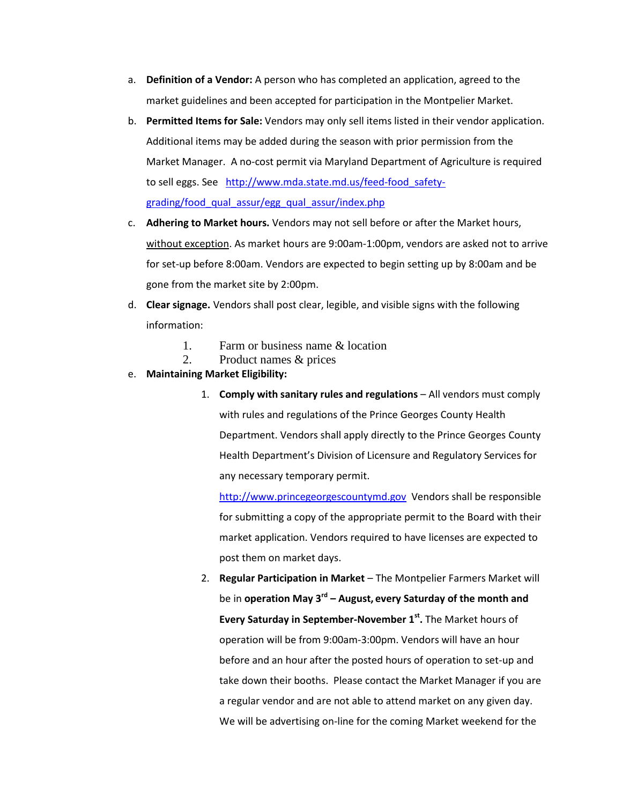- a. **Definition of a Vendor:** A person who has completed an application, agreed to the market guidelines and been accepted for participation in the Montpelier Market.
- b. **Permitted Items for Sale:** Vendors may only sell items listed in their vendor application. Additional items may be added during the season with prior permission from the Market Manager. A no-cost permit via Maryland Department of Agriculture is required to sell eggs. See http://www.mda.state.md.us/feed-food safety[grading/food\\_qual\\_assur/egg\\_qual\\_assur/index.php](http://www.mda.state.md.us/feed-food_safety-grading/food_qual_assur/egg_qual_assur/index.php)
- c. **Adhering to Market hours.** Vendors may not sell before or after the Market hours, without exception. As market hours are 9:00am-1:00pm, vendors are asked not to arrive for set-up before 8:00am. Vendors are expected to begin setting up by 8:00am and be gone from the market site by 2:00pm.
- d. **Clear signage.** Vendors shall post clear, legible, and visible signs with the following information:
	- 1. Farm or business name & location
	- 2. Product names & prices

#### e. **Maintaining Market Eligibility:**

1. **Comply with sanitary rules and regulations** – All vendors must comply with rules and regulations of the Prince Georges County Health Department. Vendors shall apply directly to the Prince Georges County Health Department's Division of Licensure and Regulatory Services for any necessary temporary permit.

[http://www.princegeorgescountymd.gov](http://www.princegeorgescountymd.gov/) Vendors shall be responsible for submitting a copy of the appropriate permit to the Board with their market application. Vendors required to have licenses are expected to post them on market days.

2. **Regular Participation in Market** – The Montpelier Farmers Market will be in **operation May 3rd – August, every Saturday of the month and Every Saturday in September-November 1st .** The Market hours of operation will be from 9:00am-3:00pm. Vendors will have an hour before and an hour after the posted hours of operation to set-up and take down their booths. Please contact the Market Manager if you are a regular vendor and are not able to attend market on any given day. We will be advertising on-line for the coming Market weekend for the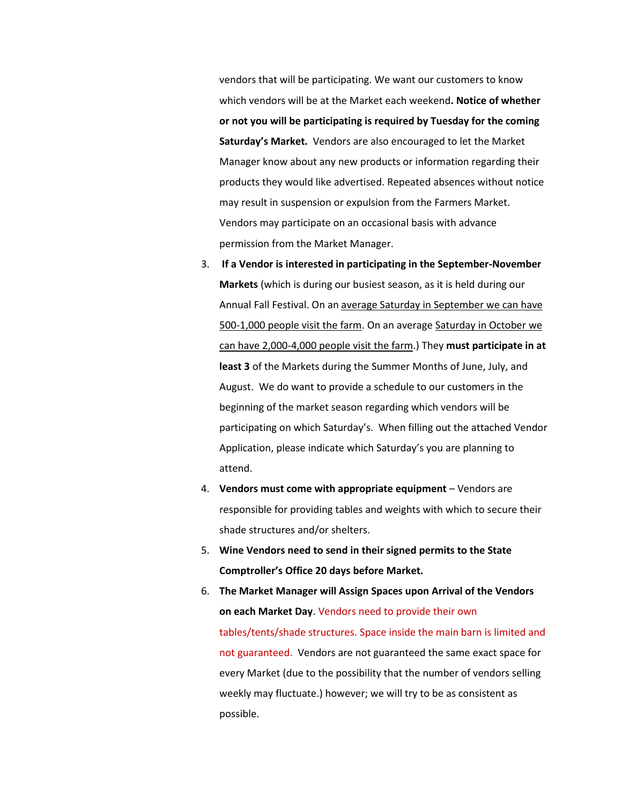vendors that will be participating. We want our customers to know which vendors will be at the Market each weekend**. Notice of whether or not you will be participating is required by Tuesday for the coming Saturday's Market.** Vendors are also encouraged to let the Market Manager know about any new products or information regarding their products they would like advertised. Repeated absences without notice may result in suspension or expulsion from the Farmers Market. Vendors may participate on an occasional basis with advance permission from the Market Manager.

- 3. **If a Vendor is interested in participating in the September-November Markets** (which is during our busiest season, as it is held during our Annual Fall Festival. On an average Saturday in September we can have 500-1,000 people visit the farm. On an average Saturday in October we can have 2,000-4,000 people visit the farm.) They **must participate in at least 3** of the Markets during the Summer Months of June, July, and August. We do want to provide a schedule to our customers in the beginning of the market season regarding which vendors will be participating on which Saturday's. When filling out the attached Vendor Application, please indicate which Saturday's you are planning to attend.
- 4. **Vendors must come with appropriate equipment** Vendors are responsible for providing tables and weights with which to secure their shade structures and/or shelters.
- 5. **Wine Vendors need to send in their signed permits to the State Comptroller's Office 20 days before Market.**
- 6. **The Market Manager will Assign Spaces upon Arrival of the Vendors on each Market Day**. Vendors need to provide their own tables/tents/shade structures. Space inside the main barn is limited and not guaranteed. Vendors are not guaranteed the same exact space for every Market (due to the possibility that the number of vendors selling weekly may fluctuate.) however; we will try to be as consistent as possible.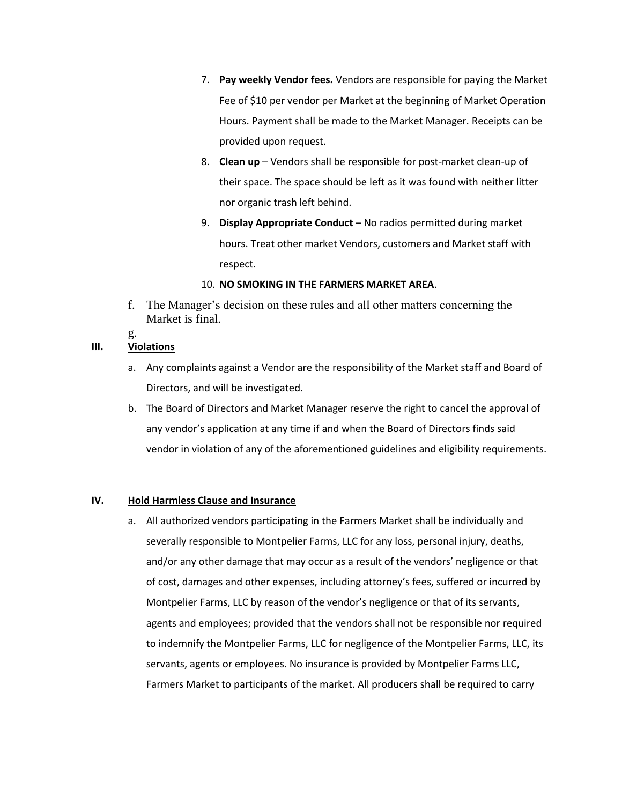- 7. **Pay weekly Vendor fees.** Vendors are responsible for paying the Market Fee of \$10 per vendor per Market at the beginning of Market Operation Hours. Payment shall be made to the Market Manager. Receipts can be provided upon request.
- 8. **Clean up**  Vendors shall be responsible for post-market clean-up of their space. The space should be left as it was found with neither litter nor organic trash left behind.
- 9. **Display Appropriate Conduct**  No radios permitted during market hours. Treat other market Vendors, customers and Market staff with respect.

#### 10. **NO SMOKING IN THE FARMERS MARKET AREA**.

f. The Manager's decision on these rules and all other matters concerning the Market is final.

#### g. **III. Violations**

- a. Any complaints against a Vendor are the responsibility of the Market staff and Board of Directors, and will be investigated.
- b. The Board of Directors and Market Manager reserve the right to cancel the approval of any vendor's application at any time if and when the Board of Directors finds said vendor in violation of any of the aforementioned guidelines and eligibility requirements.

#### **IV. Hold Harmless Clause and Insurance**

a. All authorized vendors participating in the Farmers Market shall be individually and severally responsible to Montpelier Farms, LLC for any loss, personal injury, deaths, and/or any other damage that may occur as a result of the vendors' negligence or that of cost, damages and other expenses, including attorney's fees, suffered or incurred by Montpelier Farms, LLC by reason of the vendor's negligence or that of its servants, agents and employees; provided that the vendors shall not be responsible nor required to indemnify the Montpelier Farms, LLC for negligence of the Montpelier Farms, LLC, its servants, agents or employees. No insurance is provided by Montpelier Farms LLC, Farmers Market to participants of the market. All producers shall be required to carry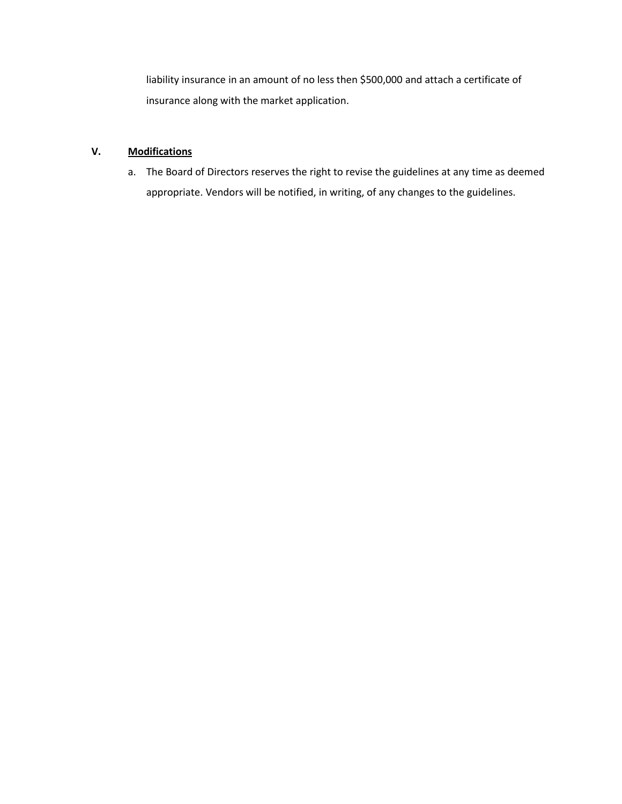liability insurance in an amount of no less then \$500,000 and attach a certificate of insurance along with the market application.

### **V. Modifications**

a. The Board of Directors reserves the right to revise the guidelines at any time as deemed appropriate. Vendors will be notified, in writing, of any changes to the guidelines.